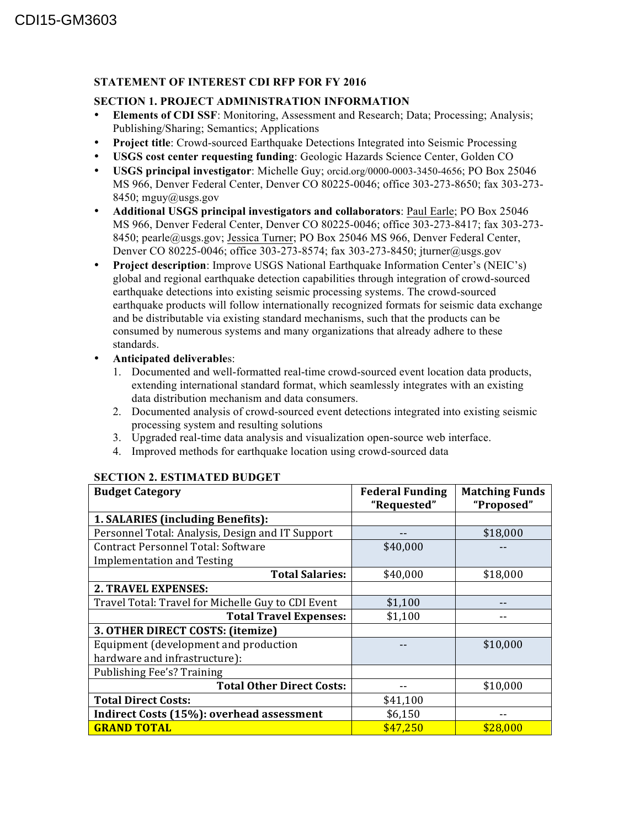## **STATEMENT OF INTEREST CDI RFP FOR FY 2016**

## **SECTION 1. PROJECT ADMINISTRATION INFORMATION**

- **Elements of CDI SSF**: Monitoring, Assessment and Research; Data; Processing; Analysis; Publishing/Sharing; Semantics; Applications
- **Project title**: Crowd-sourced Earthquake Detections Integrated into Seismic Processing
- **USGS cost center requesting funding**: Geologic Hazards Science Center, Golden CO
- **USGS principal investigator**: Michelle Guy; orcid.org/0000-0003-3450-4656; PO Box 25046 MS 966, Denver Federal Center, Denver CO 80225-0046; office 303-273-8650; fax 303-273- 8450; mguy@usgs.gov
- **Additional USGS principal investigators and collaborators**: Paul Earle; PO Box 25046 MS 966, Denver Federal Center, Denver CO 80225-0046; office 303-273-8417; fax 303-273- 8450; pearle@usgs.gov; Jessica Turner; PO Box 25046 MS 966, Denver Federal Center, Denver CO 80225-0046; office 303-273-8574; fax 303-273-8450; jturner@usgs.gov
- **Project description**: Improve USGS National Earthquake Information Center's (NEIC's) global and regional earthquake detection capabilities through integration of crowd-sourced earthquake detections into existing seismic processing systems. The crowd-sourced earthquake products will follow internationally recognized formats for seismic data exchange and be distributable via existing standard mechanisms, such that the products can be consumed by numerous systems and many organizations that already adhere to these standards.
- **Anticipated deliverable**s:
	- 1. Documented and well-formatted real-time crowd-sourced event location data products, extending international standard format, which seamlessly integrates with an existing data distribution mechanism and data consumers.
	- 2. Documented analysis of crowd-sourced event detections integrated into existing seismic processing system and resulting solutions
	- 3. Upgraded real-time data analysis and visualization open-source web interface.
	- 4. Improved methods for earthquake location using crowd-sourced data

| <b>Budget Category</b>                             | <b>Federal Funding</b> | <b>Matching Funds</b> |
|----------------------------------------------------|------------------------|-----------------------|
|                                                    | "Requested"            | "Proposed"            |
| 1. SALARIES (including Benefits):                  |                        |                       |
| Personnel Total: Analysis, Design and IT Support   |                        | \$18,000              |
| <b>Contract Personnel Total: Software</b>          | \$40,000               |                       |
| <b>Implementation and Testing</b>                  |                        |                       |
| <b>Total Salaries:</b>                             | \$40,000               | \$18,000              |
| <b>2. TRAVEL EXPENSES:</b>                         |                        |                       |
| Travel Total: Travel for Michelle Guy to CDI Event | \$1,100                |                       |
| <b>Total Travel Expenses:</b>                      | \$1,100                |                       |
| 3. OTHER DIRECT COSTS: (itemize)                   |                        |                       |
| Equipment (development and production              |                        | \$10,000              |
| hardware and infrastructure):                      |                        |                       |
| Publishing Fee's? Training                         |                        |                       |
| <b>Total Other Direct Costs:</b>                   | --                     | \$10,000              |
| <b>Total Direct Costs:</b>                         | \$41,100               |                       |
| Indirect Costs (15%): overhead assessment          | \$6,150                |                       |
| <b>GRAND TOTAL</b>                                 | \$47,250               | \$28,000              |

## **SECTION 2. ESTIMATED BUDGET**